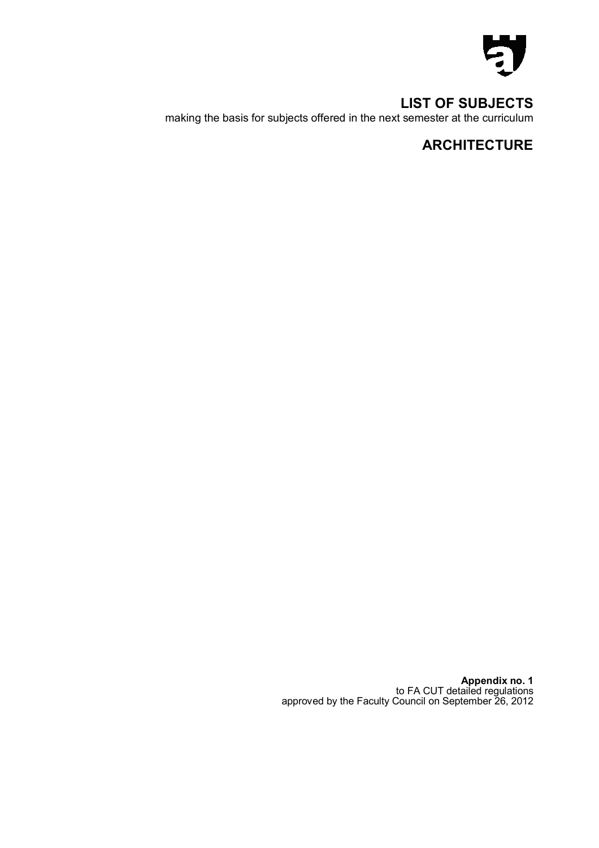

**LIST OF SUBJECTS**  making the basis for subjects offered in the next semester at the curriculum

# **ARCHITECTURE**

**Appendix no. 1**  to FA CUT detailed regulations approved by the Faculty Council on September 26, 2012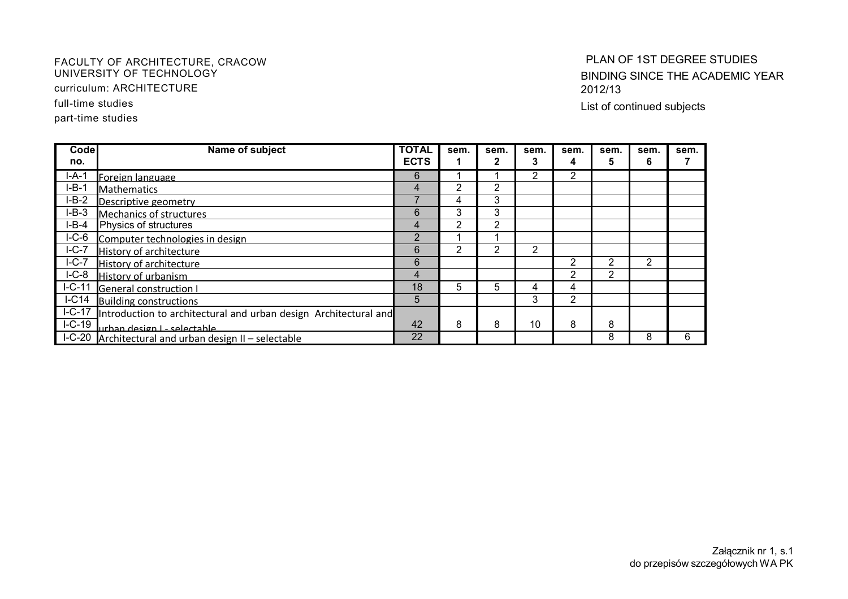#### FACULTY OF ARCHITECTURE, CRACOW UNIVERSITY OF TECHNOLOGY

curriculum: ARCHITECTURE

full-time studies

part-time studies

## PLAN OF 1ST DEGREE STUDIES BINDING SINCE THE ACADEMIC YEAR 2012/13

List of continued subjects

| Codel               | Name of subject                                                         | <b>TOTAL</b> | sem. | sem. | sem. | sem. | sem.          | sem. | sem. |
|---------------------|-------------------------------------------------------------------------|--------------|------|------|------|------|---------------|------|------|
| no.                 |                                                                         | <b>ECTS</b>  |      |      |      |      |               | 6    |      |
| I-A-1               | Foreign language                                                        | 6            |      |      | ኅ    | 2    |               |      |      |
| I-B-1               | <b>Mathematics</b>                                                      | 4            | 2    | 2    |      |      |               |      |      |
| $I-B-2$             | Descriptive geometry                                                    |              | 4    | 3    |      |      |               |      |      |
| $I-B-3$             | <b>Mechanics of structures</b>                                          | 6            | 3    | 3    |      |      |               |      |      |
| $I-B-4$             | Physics of structures                                                   | 4            | 2    | 2    |      |      |               |      |      |
| $IC-6$              | Computer technologies in design                                         | 2            |      |      |      |      |               |      |      |
| $I-C-7$             | History of architecture                                                 | 6            | 2    | 2    | 2    |      |               |      |      |
| $\overline{I}$ -C-7 | <b>History of architecture</b>                                          | 6            |      |      |      |      | 2             | 2    |      |
| $I-C-8$             | <b>History of urbanism</b>                                              | 4            |      |      |      |      | $\mathcal{P}$ |      |      |
| $I-C-11$            | <b>General construction I</b>                                           | 18           | 5    | 5    | 4    | 4    |               |      |      |
| IC14                | <b>Building constructions</b>                                           | 5            |      |      | 3    | 2    |               |      |      |
|                     | I-C-17 Introduction to architectural and urban design Architectural and |              |      |      |      |      |               |      |      |
| $I-C-19$            | urhan design L- selectable                                              | 42           | 8    | 8    | 10   | 8    | 8             |      |      |
|                     | I-C-20 Architectural and urban design II - selectable                   | 22           |      |      |      |      | 8             | 8    | 6    |